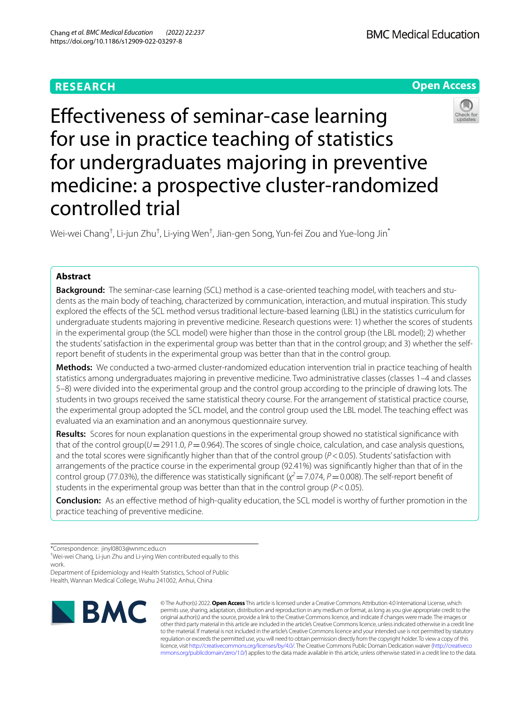# **RESEARCH**

**BMC Medical Education** 

# **Open Access**



Efectiveness of seminar-case learning for use in practice teaching of statistics for undergraduates majoring in preventive medicine: a prospective cluster-randomized controlled trial

Wei-wei Chang $^\dagger$ , Li-jun Zhu $^\dagger$ , Li-ying Wen $^\dagger$ , Jian-gen Song, Yun-fei Zou and Yue-long Jin $^*$ 

# **Abstract**

**Background:** The seminar-case learning (SCL) method is a case-oriented teaching model, with teachers and students as the main body of teaching, characterized by communication, interaction, and mutual inspiration. This study explored the efects of the SCL method versus traditional lecture-based learning (LBL) in the statistics curriculum for undergraduate students majoring in preventive medicine. Research questions were: 1) whether the scores of students in the experimental group (the SCL model) were higher than those in the control group (the LBL model); 2) whether the students' satisfaction in the experimental group was better than that in the control group; and 3) whether the selfreport beneft of students in the experimental group was better than that in the control group.

**Methods:** We conducted a two-armed cluster-randomized education intervention trial in practice teaching of health statistics among undergraduates majoring in preventive medicine. Two administrative classes (classes 1–4 and classes 5–8) were divided into the experimental group and the control group according to the principle of drawing lots. The students in two groups received the same statistical theory course. For the arrangement of statistical practice course, the experimental group adopted the SCL model, and the control group used the LBL model. The teaching efect was evaluated via an examination and an anonymous questionnaire survey.

**Results:** Scores for noun explanation questions in the experimental group showed no statistical signifcance with that of the control group( $U=2911.0$ ,  $P=0.964$ ). The scores of single choice, calculation, and case analysis questions, and the total scores were significantly higher than that of the control group ( $P$ <0.05). Students' satisfaction with arrangements of the practice course in the experimental group (92.41%) was signifcantly higher than that of in the control group (77.03%), the difference was statistically significant ( $\chi^2$  = 7.074, *P* = 0.008). The self-report benefit of students in the experimental group was better than that in the control group (*P*<0.05).

**Conclusion:** As an efective method of high-quality education, the SCL model is worthy of further promotion in the practice teaching of preventive medicine.

\*Correspondence: jinyl0803@wnmc.edu.cn

† Wei-wei Chang, Li-jun Zhu and Li-ying Wen contributed equally to this work.

Department of Epidemiology and Health Statistics, School of Public Health, Wannan Medical College, Wuhu 241002, Anhui, China



© The Author(s) 2022. **Open Access** This article is licensed under a Creative Commons Attribution 4.0 International License, which permits use, sharing, adaptation, distribution and reproduction in any medium or format, as long as you give appropriate credit to the original author(s) and the source, provide a link to the Creative Commons licence, and indicate if changes were made. The images or other third party material in this article are included in the article's Creative Commons licence, unless indicated otherwise in a credit line to the material. If material is not included in the article's Creative Commons licence and your intended use is not permitted by statutory regulation or exceeds the permitted use, you will need to obtain permission directly from the copyright holder. To view a copy of this licence, visit [http://creativecommons.org/licenses/by/4.0/.](http://creativecommons.org/licenses/by/4.0/) The Creative Commons Public Domain Dedication waiver ([http://creativeco](http://creativecommons.org/publicdomain/zero/1.0/) [mmons.org/publicdomain/zero/1.0/](http://creativecommons.org/publicdomain/zero/1.0/)) applies to the data made available in this article, unless otherwise stated in a credit line to the data.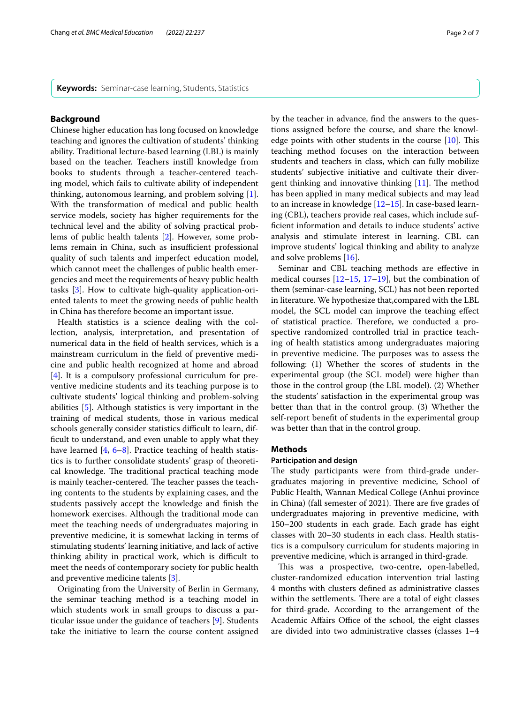**Keywords:** Seminar-case learning, Students, Statistics

# **Background**

Chinese higher education has long focused on knowledge teaching and ignores the cultivation of students' thinking ability. Traditional lecture-based learning (LBL) is mainly based on the teacher. Teachers instill knowledge from books to students through a teacher-centered teaching model, which fails to cultivate ability of independent thinking, autonomous learning, and problem solving [\[1](#page-5-0)]. With the transformation of medical and public health service models, society has higher requirements for the technical level and the ability of solving practical problems of public health talents [\[2](#page-5-1)]. However, some problems remain in China, such as insufficient professional quality of such talents and imperfect education model, which cannot meet the challenges of public health emergencies and meet the requirements of heavy public health tasks [\[3](#page-5-2)]. How to cultivate high-quality application-oriented talents to meet the growing needs of public health in China has therefore become an important issue.

Health statistics is a science dealing with the collection, analysis, interpretation, and presentation of numerical data in the feld of health services, which is a mainstream curriculum in the feld of preventive medicine and public health recognized at home and abroad [[4\]](#page-5-3). It is a compulsory professional curriculum for preventive medicine students and its teaching purpose is to cultivate students' logical thinking and problem-solving abilities [[5\]](#page-5-4). Although statistics is very important in the training of medical students, those in various medical schools generally consider statistics difficult to learn, diffcult to understand, and even unable to apply what they have learned [[4,](#page-5-3) [6](#page-5-5)[–8](#page-5-6)]. Practice teaching of health statistics is to further consolidate students' grasp of theoretical knowledge. The traditional practical teaching mode is mainly teacher-centered. The teacher passes the teaching contents to the students by explaining cases, and the students passively accept the knowledge and fnish the homework exercises. Although the traditional mode can meet the teaching needs of undergraduates majoring in preventive medicine, it is somewhat lacking in terms of stimulating students' learning initiative, and lack of active thinking ability in practical work, which is difficult to meet the needs of contemporary society for public health and preventive medicine talents [\[3](#page-5-2)].

Originating from the University of Berlin in Germany, the seminar teaching method is a teaching model in which students work in small groups to discuss a particular issue under the guidance of teachers [[9\]](#page-5-7). Students take the initiative to learn the course content assigned by the teacher in advance, fnd the answers to the questions assigned before the course, and share the knowledge points with other students in the course  $[10]$  $[10]$  $[10]$ . This teaching method focuses on the interaction between students and teachers in class, which can fully mobilize students' subjective initiative and cultivate their divergent thinking and innovative thinking  $[11]$  $[11]$ . The method has been applied in many medical subjects and may lead to an increase in knowledge [\[12–](#page-6-1)[15\]](#page-6-2). In case-based learning (CBL), teachers provide real cases, which include suffcient information and details to induce students' active analysis and stimulate interest in learning. CBL can improve students' logical thinking and ability to analyze and solve problems [[16\]](#page-6-3).

Seminar and CBL teaching methods are efective in medical courses  $[12-15, 17-19]$  $[12-15, 17-19]$  $[12-15, 17-19]$  $[12-15, 17-19]$ , but the combination of them (seminar-case learning, SCL) has not been reported in literature. We hypothesize that,compared with the LBL model, the SCL model can improve the teaching efect of statistical practice. Therefore, we conducted a prospective randomized controlled trial in practice teaching of health statistics among undergraduates majoring in preventive medicine. The purposes was to assess the following: (1) Whether the scores of students in the experimental group (the SCL model) were higher than those in the control group (the LBL model). (2) Whether the students' satisfaction in the experimental group was better than that in the control group. (3) Whether the self-report beneft of students in the experimental group was better than that in the control group.

# **Methods**

## **Participation and design**

The study participants were from third-grade undergraduates majoring in preventive medicine, School of Public Health, Wannan Medical College (Anhui province in China) (fall semester of 2021). There are five grades of undergraduates majoring in preventive medicine, with 150–200 students in each grade. Each grade has eight classes with 20–30 students in each class. Health statistics is a compulsory curriculum for students majoring in preventive medicine, which is arranged in third-grade.

This was a prospective, two-centre, open-labelled, cluster-randomized education intervention trial lasting 4 months with clusters defned as administrative classes within the settlements. There are a total of eight classes for third-grade. According to the arrangement of the Academic Affairs Office of the school, the eight classes are divided into two administrative classes (classes 1–4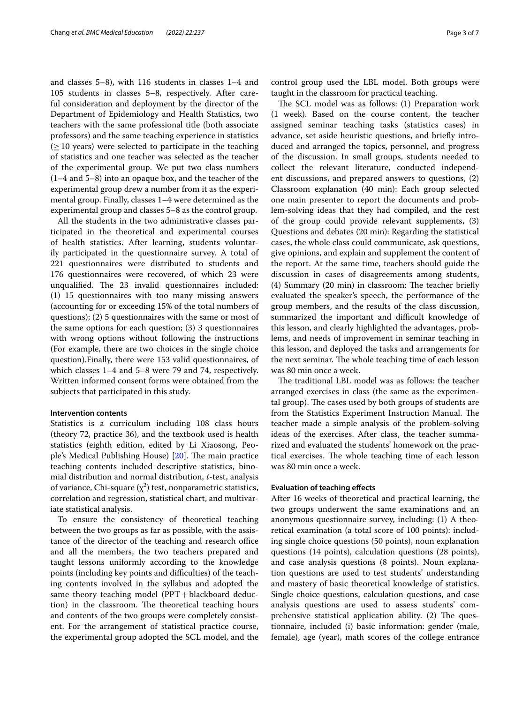and classes 5–8), with 116 students in classes 1–4 and 105 students in classes 5–8, respectively. After careful consideration and deployment by the director of the Department of Epidemiology and Health Statistics, two teachers with the same professional title (both associate professors) and the same teaching experience in statistics  $(\geq 10 \text{ years})$  were selected to participate in the teaching of statistics and one teacher was selected as the teacher of the experimental group. We put two class numbers (1–4 and 5–8) into an opaque box, and the teacher of the experimental group drew a number from it as the experimental group. Finally, classes 1–4 were determined as the experimental group and classes 5–8 as the control group.

All the students in the two administrative classes participated in the theoretical and experimental courses of health statistics. After learning, students voluntarily participated in the questionnaire survey. A total of 221 questionnaires were distributed to students and 176 questionnaires were recovered, of which 23 were unqualified. The 23 invalid questionnaires included: (1) 15 questionnaires with too many missing answers (accounting for or exceeding 15% of the total numbers of questions); (2) 5 questionnaires with the same or most of the same options for each question; (3) 3 questionnaires with wrong options without following the instructions (For example, there are two choices in the single choice question).Finally, there were 153 valid questionnaires, of which classes 1–4 and 5–8 were 79 and 74, respectively. Written informed consent forms were obtained from the subjects that participated in this study.

### **Intervention contents**

Statistics is a curriculum including 108 class hours (theory 72, practice 36), and the textbook used is health statistics (eighth edition, edited by Li Xiaosong, Peo-ple's Medical Publishing House) [\[20](#page-6-6)]. The main practice teaching contents included descriptive statistics, binomial distribution and normal distribution, *t*-test, analysis of variance, Chi-square  $(\chi^2)$  test, nonparametric statistics, correlation and regression, statistical chart, and multivariate statistical analysis.

To ensure the consistency of theoretical teaching between the two groups as far as possible, with the assistance of the director of the teaching and research office and all the members, the two teachers prepared and taught lessons uniformly according to the knowledge points (including key points and difficulties) of the teaching contents involved in the syllabus and adopted the same theory teaching model  $(PPT + blackboard$  deduction) in the classroom. The theoretical teaching hours and contents of the two groups were completely consistent. For the arrangement of statistical practice course, the experimental group adopted the SCL model, and the control group used the LBL model. Both groups were taught in the classroom for practical teaching.

The SCL model was as follows: (1) Preparation work (1 week). Based on the course content, the teacher assigned seminar teaching tasks (statistics cases) in advance, set aside heuristic questions, and briefy introduced and arranged the topics, personnel, and progress of the discussion. In small groups, students needed to collect the relevant literature, conducted independent discussions, and prepared answers to questions, (2) Classroom explanation (40 min): Each group selected one main presenter to report the documents and problem-solving ideas that they had compiled, and the rest of the group could provide relevant supplements, (3) Questions and debates (20 min): Regarding the statistical cases, the whole class could communicate, ask questions, give opinions, and explain and supplement the content of the report. At the same time, teachers should guide the discussion in cases of disagreements among students,  $(4)$  Summary  $(20 \text{ min})$  in classroom: The teacher briefly evaluated the speaker's speech, the performance of the group members, and the results of the class discussion, summarized the important and difficult knowledge of this lesson, and clearly highlighted the advantages, problems, and needs of improvement in seminar teaching in this lesson, and deployed the tasks and arrangements for the next seminar. The whole teaching time of each lesson was 80 min once a week.

The traditional LBL model was as follows: the teacher arranged exercises in class (the same as the experimental group). The cases used by both groups of students are from the Statistics Experiment Instruction Manual. The teacher made a simple analysis of the problem-solving ideas of the exercises. After class, the teacher summarized and evaluated the students' homework on the practical exercises. The whole teaching time of each lesson was 80 min once a week.

## **Evaluation of teaching efects**

After 16 weeks of theoretical and practical learning, the two groups underwent the same examinations and an anonymous questionnaire survey, including: (1) A theoretical examination (a total score of 100 points): including single choice questions (50 points), noun explanation questions (14 points), calculation questions (28 points), and case analysis questions (8 points). Noun explanation questions are used to test students' understanding and mastery of basic theoretical knowledge of statistics. Single choice questions, calculation questions, and case analysis questions are used to assess students' comprehensive statistical application ability. (2) The questionnaire, included (i) basic information: gender (male, female), age (year), math scores of the college entrance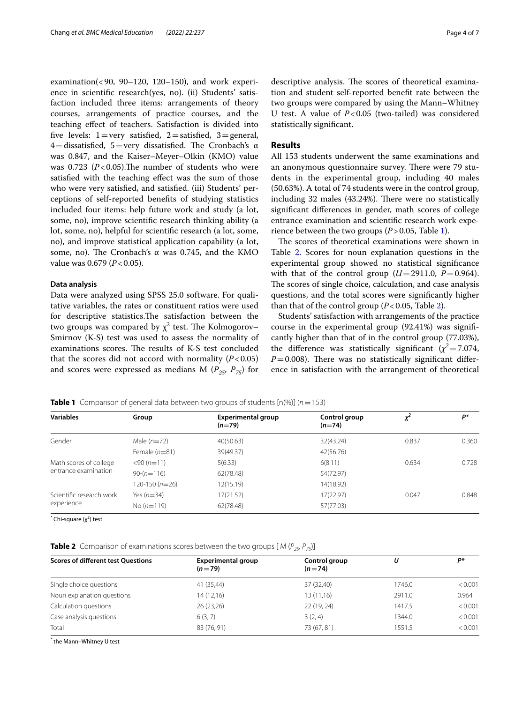examination(<90, 90–120, 120–150), and work experience in scientifc research(yes, no). (ii) Students' satisfaction included three items: arrangements of theory courses, arrangements of practice courses, and the teaching efect of teachers. Satisfaction is divided into five levels:  $1 = \text{very satisfied}, 2 = \text{satisfied}, 3 = \text{general},$ 4=dissatisfied, 5=very dissatisfied. The Cronbach's  $\alpha$ was 0.847, and the Kaiser–Meyer–Olkin (KMO) value was  $0.723$  ( $P < 0.05$ ). The number of students who were satisfed with the teaching efect was the sum of those who were very satisfed, and satisfed. (iii) Students' perceptions of self-reported benefts of studying statistics included four items: help future work and study (a lot, some, no), improve scientifc research thinking ability (a lot, some, no), helpful for scientifc research (a lot, some, no), and improve statistical application capability (a lot, some, no). The Cronbach's α was 0.745, and the KMO value was 0.679 (*P*<0.05).

## **Data analysis**

Data were analyzed using SPSS 25.0 software. For qualitative variables, the rates or constituent ratios were used for descriptive statistics.The satisfaction between the two groups was compared by  $\chi^2$  test. The Kolmogorov– Smirnov (K-S) test was used to assess the normality of examinations scores. The results of K-S test concluded that the scores did not accord with normality  $(P<0.05)$ and scores were expressed as medians M  $(P_{25}, P_{75})$  for descriptive analysis. The scores of theoretical examination and student self-reported beneft rate between the two groups were compared by using the Mann–Whitney U test. A value of *P*<0.05 (two-tailed) was considered statistically signifcant.

# **Results**

All 153 students underwent the same examinations and an anonymous questionnaire survey. There were 79 students in the experimental group, including 40 males (50.63%). A total of 74 students were in the control group, including 32 males (43.24%). There were no statistically signifcant diferences in gender, math scores of college entrance examination and scientifc research work experience between the two groups  $(P > 0.05,$  Table [1\)](#page-3-0).

The scores of theoretical examinations were shown in Table [2](#page-3-1). Scores for noun explanation questions in the experimental group showed no statistical signifcance with that of the control group  $(U=2911.0, P=0.964)$ . The scores of single choice, calculation, and case analysis questions, and the total scores were signifcantly higher than that of the control group  $(P<0.05$ , Table [2\)](#page-3-1).

Students' satisfaction with arrangements of the practice course in the experimental group (92.41%) was signifcantly higher than that of in the control group (77.03%), the difference was statistically significant  $(\chi^2 = 7.074,$  $P=0.008$ ). There was no statistically significant difference in satisfaction with the arrangement of theoretical

<span id="page-3-0"></span>**Table 1** Comparison of general data between two groups of students  $[n(\%)]$  ( $n = 153$ )

| <b>Variables</b>                               | Group           | <b>Experimental group</b><br>$(n=79)$ | Control group<br>$(n=74)$ | x     | P*    |
|------------------------------------------------|-----------------|---------------------------------------|---------------------------|-------|-------|
| Gender                                         | Male $(n=72)$   | 40(50.63)                             | 32(43.24)                 | 0.837 | 0.360 |
|                                                | Female $(n=81)$ | 39(49.37)                             | 42(56.76)                 |       |       |
| Math scores of college<br>entrance examination | $<$ 90 (n=11)   | 5(6.33)                               | 6(8.11)                   | 0.634 | 0.728 |
|                                                | $90-(n=116)$    | 62(78.48)                             | 54(72.97)                 |       |       |
|                                                | $120-150(n=26)$ | 12(15.19)                             | 14(18.92)                 |       |       |
| Scientific research work<br>experience         | Yes $(n=34)$    | 17(21.52)                             | 17(22.97)                 | 0.047 | 0.848 |
|                                                | No $(n=119)$    | 62(78.48)                             | 57(77.03)                 |       |       |

<sup>\*</sup> Chi-square (χ<sup>2</sup>) test

<span id="page-3-1"></span>**Table 2** Comparison of examinations scores between the two groups  $[M(P_{25}, P_{75})]$ 

| <b>Scores of different test Ouestions</b> | <b>Experimental group</b><br>$(n=79)$ | Control group<br>$(n=74)$ | U      | D*      |
|-------------------------------------------|---------------------------------------|---------------------------|--------|---------|
| Single choice questions                   | 41 (35,44)                            | 37 (32,40)                | 1746.0 | < 0.001 |
| Noun explanation questions                | 14(12,16)                             | 13 (11,16)                | 2911.0 | 0.964   |
| Calculation questions                     | 26(23,26)                             | 22 (19, 24)               | 1417.5 | < 0.001 |
| Case analysis questions                   | 6(3, 7)                               | 3(2, 4)                   | 1344.0 | < 0.001 |
| Total                                     | 83 (76, 91)                           | 73 (67, 81)               | 1551.5 | < 0.001 |

*\** the Mann–Whitney U test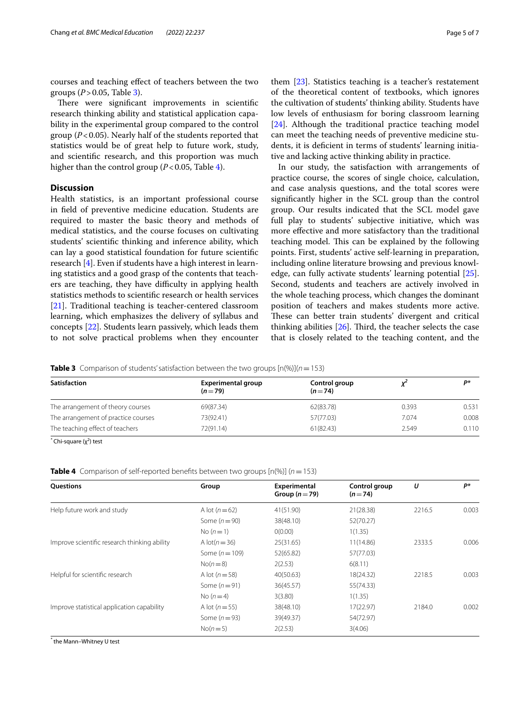courses and teaching efect of teachers between the two groups (*P*>0.05, Table [3\)](#page-4-0).

There were significant improvements in scientific research thinking ability and statistical application capability in the experimental group compared to the control group (*P*<0.05). Nearly half of the students reported that statistics would be of great help to future work, study, and scientifc research, and this proportion was much higher than the control group ( $P < 0.05$ , Table [4](#page-4-1)).

# **Discussion**

Health statistics, is an important professional course in feld of preventive medicine education. Students are required to master the basic theory and methods of medical statistics, and the course focuses on cultivating students' scientifc thinking and inference ability, which can lay a good statistical foundation for future scientifc research [[4](#page-5-3)]. Even if students have a high interest in learning statistics and a good grasp of the contents that teachers are teaching, they have difficulty in applying health statistics methods to scientifc research or health services [[21\]](#page-6-7). Traditional teaching is teacher-centered classroom learning, which emphasizes the delivery of syllabus and concepts [[22\]](#page-6-8). Students learn passively, which leads them to not solve practical problems when they encounter

them [\[23\]](#page-6-9). Statistics teaching is a teacher's restatement of the theoretical content of textbooks, which ignores the cultivation of students' thinking ability. Students have low levels of enthusiasm for boring classroom learning [[24\]](#page-6-10). Although the traditional practice teaching model can meet the teaching needs of preventive medicine students, it is deficient in terms of students' learning initiative and lacking active thinking ability in practice.

In our study, the satisfaction with arrangements of practice course, the scores of single choice, calculation, and case analysis questions, and the total scores were signifcantly higher in the SCL group than the control group. Our results indicated that the SCL model gave full play to students' subjective initiative, which was more efective and more satisfactory than the traditional teaching model. This can be explained by the following points. First, students' active self-learning in preparation, including online literature browsing and previous knowledge, can fully activate students' learning potential [\[25](#page-6-11)]. Second, students and teachers are actively involved in the whole teaching process, which changes the dominant position of teachers and makes students more active. These can better train students' divergent and critical thinking abilities  $[26]$  $[26]$ . Third, the teacher selects the case that is closely related to the teaching content, and the

<span id="page-4-0"></span>**Table 3** Comparison of students' satisfaction between the two groups  $[n(\%)](n=153)$ 

| <b>Satisfaction</b>                 | <b>Experimental group</b><br>$(n=79)$ | Control group<br>$(n=74)$ |       | D*    |  |
|-------------------------------------|---------------------------------------|---------------------------|-------|-------|--|
| The arrangement of theory courses   | 69(87.34)                             | 62(83.78)                 | 0.393 | 0.531 |  |
| The arrangement of practice courses | 73(92.41)                             | 57(77.03)                 | 7.074 | 0.008 |  |
| The teaching effect of teachers     | 72(91.14)                             | 61(82.43)                 | 2.549 | 0.110 |  |

<sup>\*</sup> Chi-square (χ<sup>2</sup>) test

<span id="page-4-1"></span>**Table 4** Comparison of self-reported benefts between two groups [n(%)] (*n*=153)

| <b>Ouestions</b>                             | Group            | Experimental<br>Group $(n=79)$ | Control group<br>$(n=74)$ | U      | P*    |
|----------------------------------------------|------------------|--------------------------------|---------------------------|--------|-------|
| Help future work and study                   | A lot $(n=62)$   | 41(51.90)                      | 21(28.38)                 | 2216.5 | 0.003 |
|                                              | Some $(n=90)$    | 38(48.10)                      | 52(70.27)                 |        |       |
|                                              | No $(n=1)$       | O(0.00)                        | 1(1.35)                   |        |       |
| Improve scientific research thinking ability | A $lot(n=36)$    | 25(31.65)                      | 11(14.86)                 | 2333.5 | 0.006 |
|                                              | Some $(n=109)$   | 52(65.82)                      | 57(77.03)                 |        |       |
|                                              | $No(n=8)$        | 2(2.53)                        | 6(8.11)                   |        |       |
| Helpful for scientific research              | A lot $(n=58)$   | 40(50.63)                      | 18(24.32)                 | 2218.5 | 0.003 |
|                                              | Some $(n=91)$    | 36(45.57)                      | 55(74.33)                 |        |       |
|                                              | No $(n=4)$       | 3(3.80)                        | 1(1.35)                   |        |       |
| Improve statistical application capability   | A lot $(n = 55)$ | 38(48.10)                      | 17(22.97)                 | 2184.0 | 0.002 |
|                                              | Some $(n=93)$    | 39(49.37)                      | 54(72.97)                 |        |       |
|                                              | $No(n=5)$        | 2(2.53)                        | 3(4.06)                   |        |       |

*\** the Mann–Whitney U test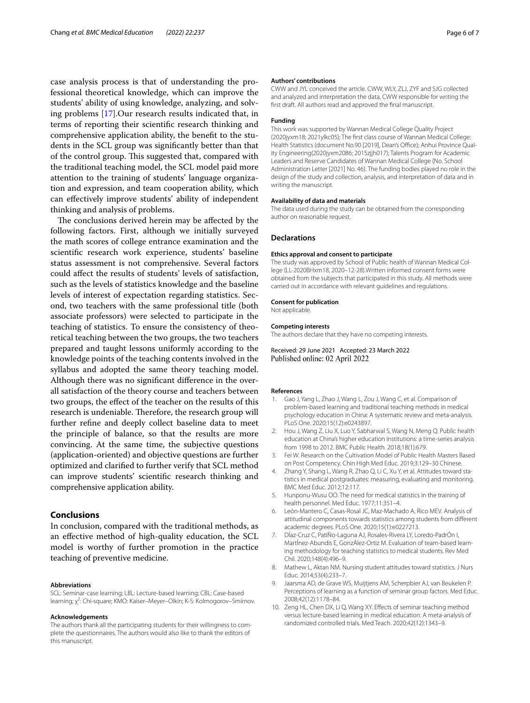case analysis process is that of understanding the professional theoretical knowledge, which can improve the students' ability of using knowledge, analyzing, and solving problems [\[17\]](#page-6-4).Our research results indicated that, in terms of reporting their scientifc research thinking and comprehensive application ability, the beneft to the students in the SCL group was signifcantly better than that of the control group. This suggested that, compared with the traditional teaching model, the SCL model paid more attention to the training of students' language organization and expression, and team cooperation ability, which can efectively improve students' ability of independent thinking and analysis of problems.

The conclusions derived herein may be affected by the following factors. First, although we initially surveyed the math scores of college entrance examination and the scientifc research work experience, students' baseline status assessment is not comprehensive. Several factors could afect the results of students' levels of satisfaction, such as the levels of statistics knowledge and the baseline levels of interest of expectation regarding statistics. Second, two teachers with the same professional title (both associate professors) were selected to participate in the teaching of statistics. To ensure the consistency of theoretical teaching between the two groups, the two teachers prepared and taught lessons uniformly according to the knowledge points of the teaching contents involved in the syllabus and adopted the same theory teaching model. Although there was no signifcant diference in the overall satisfaction of the theory course and teachers between two groups, the efect of the teacher on the results of this research is undeniable. Therefore, the research group will further refne and deeply collect baseline data to meet the principle of balance, so that the results are more convincing. At the same time, the subjective questions (application-oriented) and objective questions are further optimized and clarifed to further verify that SCL method can improve students' scientifc research thinking and comprehensive application ability.

# **Conclusions**

In conclusion, compared with the traditional methods, as an efective method of high-quality education, the SCL model is worthy of further promotion in the practice teaching of preventive medicine.

### **Abbreviations**

SCL: Seminar-case learning; LBL: Lecture-based learning; CBL: Case-based learning; χ<sup>2</sup>: Chi-square; KMO: Kaiser–Meyer–Olkin; K-S: Kolmogorov–Smirnov.

#### **Acknowledgements**

The authors thank all the participating students for their willingness to complete the questionnaires. The authors would also like to thank the editors of this manuscript.

#### **Authors' contributions**

CWW and JYL conceived the article. CWW, WLY, ZLJ, ZYF and SJG collected and analyzed and interpretation the data, CWW responsible for writing the frst draft. All authors read and approved the fnal manuscript.

### **Funding**

This work was supported by Wannan Medical College Quality Project (2020jyxm18; 2021ylkc05); The frst class course of Wannan Medical College: Health Statistics (document No.90 [2019], Dean's Office); Anhui Province Quality Engineering(2020jyxm2086; 2015zjjh017); Talents Program for Academic Leaders and Reserve Candidates of Wannan Medical College (No. School Administration Letter [2021] No. 46). The funding bodies played no role in the design of the study and collection, analysis, and interpretation of data and in writing the manuscript.

#### **Availability of data and materials**

The data used during the study can be obtained from the corresponding author on reasonable request.

#### **Declarations**

#### **Ethics approval and consent to participate**

The study was approved by School of Public health of Wannan Medical College (LL-2020BHxm18, 2020–12-28).Written informed consent forms were obtained from the subjects that participated in this study. All methods were carried out in accordance with relevant guidelines and regulations.

### **Consent for publication**

Not applicable.

#### **Competing interests**

The authors declare that they have no competing interests.

Received: 29 June 2021 Accepted: 23 March 2022 Published online: 02 April 2022

#### **References**

- <span id="page-5-0"></span>1. Gao J, Yang L, Zhao J, Wang L, Zou J, Wang C, et al. Comparison of problem-based learning and traditional teaching methods in medical psychology education in China: A systematic review and meta-analysis. PLoS One. 2020;15(12):e0243897.
- <span id="page-5-1"></span>2. Hou J, Wang Z, Liu X, Luo Y, Sabharwal S, Wang N, Meng Q. Public health education at China's higher education institutions: a time-series analysis from 1998 to 2012. BMC Public Health. 2018;18(1):679.
- <span id="page-5-2"></span>3. Fei W. Research on the Cultivation Model of Public Health Masters Based on Post Competency. Chin High Med Educ. 2019;3:129–30 Chinese.
- <span id="page-5-3"></span>4. Zhang Y, Shang L, Wang R, Zhao Q, Li C, Xu Y, et al. Attitudes toward statistics in medical postgraduates: measuring, evaluating and monitoring. BMC Med Educ. 2012;12:117.
- <span id="page-5-4"></span>5. Hunponu-Wusu OO. The need for medical statistics in the training of health personnel. Med Educ. 1977;11:351–4.
- <span id="page-5-5"></span>6. León-Mantero C, Casas-Rosal JC, Maz-Machado A, Rico MEV. Analysis of attitudinal components towards statistics among students from diferent academic degrees. PLoS One. 2020;15(1):e0227213.
- 7. DÍaz-Cruz C, PatiÑo-Laguna AJ, Rosales-Rivera LY, Loredo-PadrÓn I, MartÍnez-Abundis E, GonzÁlez-Ortiz M. Evaluation of team-based learning methodology for teaching statistics to medical students. Rev Med Chil. 2020;148(4):496–9.
- <span id="page-5-6"></span>8. Mathew L, Aktan NM. Nursing student attitudes toward statistics. J Nurs Educ. 2014;53(4):233–7.
- <span id="page-5-7"></span>9. Jaarsma AD, de Grave WS, Muijtjens AM, Scherpbier AJ, van Beukelen P. Perceptions of learning as a function of seminar group factors. Med Educ. 2008;42(12):1178–84.
- <span id="page-5-8"></span>10. Zeng HL, Chen DX, Li Q, Wang XY. Efects of seminar teaching method versus lecture-based learning in medical education: A meta-analysis of randomized controlled trials. Med Teach. 2020;42(12):1343–9.